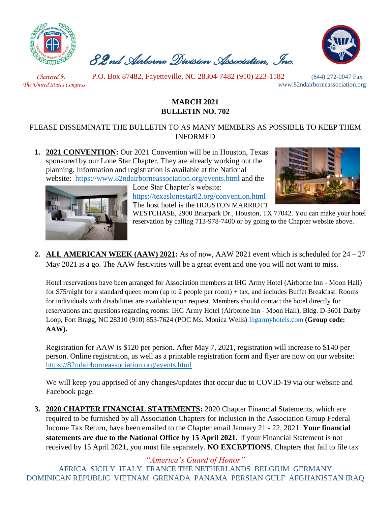

 *82nd Airborne Division Association, Inc.* 



 *Chartered by* P.O. Box 87482, Fayetteville, NC 28304-7482 (910) 223-1182 (844) 272-0047 Fax

*The United States Congress* www.82ndairborneassociation.org

## **MARCH 2021 BULLETIN NO. 702**

## PLEASE DISSEMINATE THE BULLETIN TO AS MANY MEMBERS AS POSSIBLE TO KEEP THEM INFORMED

**1. 2021 CONVENTION:** Our 2021 Convention will be in Houston, Texas sponsored by our Lone Star Chapter. They are already working out the planning. Information and registration is available at the National website: <https://www.82ndairborneassociation.org/events.html> and the

> Lone Star Chapter's website: <https://texaslonestar82.org/convention.html> The host hotel is the HOUSTON MARRIOTT





WESTCHASE, 2900 Briarpark Dr., Houston, TX 77042. You can make your hotel reservation by calling 713-978-7400 or by going to the Chapter website above.

**2. ALL AMERICAN WEEK (AAW) 2021:** As of now, AAW 2021 event which is scheduled for 24 – 27 May 2021 is a go. The AAW festivities will be a great event and one you will not want to miss.

Hotel reservations have been arranged for Association members at IHG Army Hotel (Airborne Inn - Moon Hall) for \$75/night for a standard queen room (up to 2 people per room) + tax, and includes Buffet Breakfast. Rooms for individuals with disabilities are available upon request. Members should contact the hotel directly for reservations and questions regarding rooms: IHG Army Hotel (Airborne Inn - Moon Hall), Bldg. D-3601 Darby Loop, Fort Bragg, NC 28310 (910) 853-7624 (POC Ms. Monica Wells) [Ihgarmyhotels.com](file:///C:/Users/Execurive%20Director/Downloads/01.%20%20Jan%202021%20National%20Bulletin.docx) **(Group code: AAW).**

Registration for AAW is \$120 per person. After May 7, 2021, registration will increase to \$140 per person. Online registration, as well as a printable registration form and flyer are now on our website: <https://82ndairborneassociation.org/events.html>

We will keep you apprised of any changes/updates that occur due to COVID-19 via our website and Facebook page.

**3. 2020 CHAPTER FINANCIAL STATEMENTS:** 2020 Chapter Financial Statements, which are required to be furnished by all Association Chapters for inclusion in the Association Group Federal Income Tax Return, have been emailed to the Chapter email January 21 - 22, 2021. **Your financial statements are due to the National Office by 15 April 2021.** If your Financial Statement is not received by 15 April 2021, you must file separately. **NO EXCEPTIONS**. Chapters that fail to file tax

*"America's Guard of Honor"* AFRICA SICILY ITALY FRANCE THE NETHERLANDS BELGIUM GERMANY DOMINICAN REPUBLIC VIETNAM GRENADA PANAMA PERSIAN GULF AFGHANISTAN IRAQ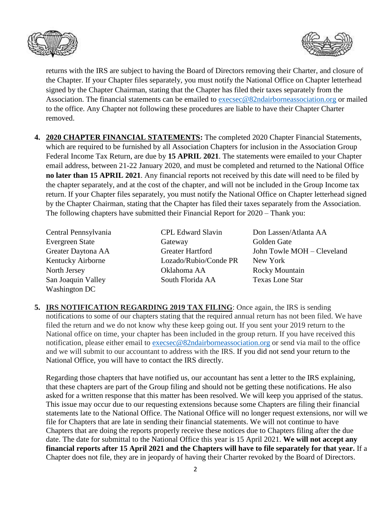



returns with the IRS are subject to having the Board of Directors removing their Charter, and closure of the Chapter. If your Chapter files separately, you must notify the National Office on Chapter letterhead signed by the Chapter Chairman, stating that the Chapter has filed their taxes separately from the Association. The financial statements can be emailed to [execsec@82ndairborneassociation.org](mailto:execsec@82ndairborneassociation.org) or mailed to the office. Any Chapter not following these procedures are liable to have their Chapter Charter removed.

**4. 2020 CHAPTER FINANCIAL STATEMENTS:** The completed 2020 Chapter Financial Statements, which are required to be furnished by all Association Chapters for inclusion in the Association Group Federal Income Tax Return, are due by **15 APRIL 2021**. The statements were emailed to your Chapter email address, between 21-22 January 2020, and must be completed and returned to the National Office **no later than 15 APRIL 2021**. Any financial reports not received by this date will need to be filed by the chapter separately, and at the cost of the chapter, and will not be included in the Group Income tax return. If your Chapter files separately, you must notify the National Office on Chapter letterhead signed by the Chapter Chairman, stating that the Chapter has filed their taxes separately from the Association. The following chapters have submitted their Financial Report for 2020 – Thank you:

Gateway Golden Gate Lozado/Rubio/Conde PR New York Oklahoma AA Rocky Mountain South Florida AA Texas Lone Star

CPL Edward Slavin Don Lassen/Atlanta AA Greater Hartford John Towle MOH – Cleveland

**5. IRS NOTIFICATION REGARDING 2019 TAX FILING**: Once again, the IRS is sending notifications to some of our chapters stating that the required annual return has not been filed. We have filed the return and we do not know why these keep going out. If you sent your 2019 return to the National office on time, your chapter has been included in the group return. If you have received this notification, please either email to [execsec@82ndairborneassociation.org](mailto:execsec@82ndairborneassociation.org) or send via mail to the office and we will submit to our accountant to address with the IRS. If you did not send your return to the National Office, you will have to contact the IRS directly.

Regarding those chapters that have notified us, our accountant has sent a letter to the IRS explaining, that these chapters are part of the Group filing and should not be getting these notifications. He also asked for a written response that this matter has been resolved. We will keep you apprised of the status. This issue may occur due to our requesting extensions because some Chapters are filing their financial statements late to the National Office. The National Office will no longer request extensions, nor will we file for Chapters that are late in sending their financial statements. We will not continue to have Chapters that are doing the reports properly receive these notices due to Chapters filing after the due date. The date for submittal to the National Office this year is 15 April 2021. **We will not accept any financial reports after 15 April 2021 and the Chapters will have to file separately for that year.** If a Chapter does not file, they are in jeopardy of having their Charter revoked by the Board of Directors.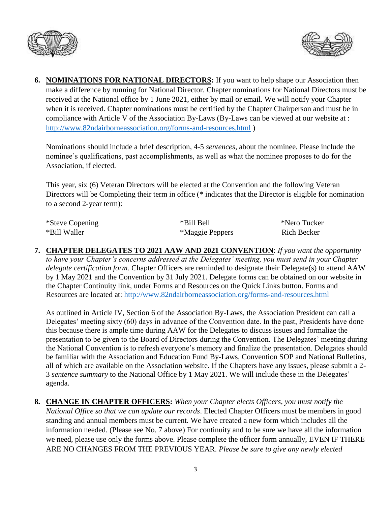



**6. NOMINATIONS FOR NATIONAL DIRECTORS:** If you want to help shape our Association then make a difference by running for National Director. Chapter nominations for National Directors must be received at the National office by 1 June 2021, either by mail or email. We will notify your Chapter when it is received. Chapter nominations must be certified by the Chapter Chairperson and must be in compliance with Article V of the Association By-Laws (By-Laws can be viewed at our website at : <http://www.82ndairborneassociation.org/forms-and-resources.html> )

Nominations should include a brief description, 4-5 *sentences*, about the nominee. Please include the nominee's qualifications, past accomplishments, as well as what the nominee proposes to do for the Association, if elected.

This year, six (6) Veteran Directors will be elected at the Convention and the following Veteran Directors will be Completing their term in office (\* indicates that the Director is eligible for nomination to a second 2-year term):

| *Steve Copening | *Bill Bell      | *Nero Tucker |
|-----------------|-----------------|--------------|
| *Bill Waller    | *Maggie Peppers | Rich Becker  |

**7. CHAPTER DELEGATES TO 2021 AAW AND 2021 CONVENTION**: *If you want the opportunity to have your Chapter's concerns addressed at the Delegates' meeting, you must send in your Chapter delegate certification form.* Chapter Officers are reminded to designate their Delegate(s) to attend AAW by 1 May 2021 and the Convention by 31 July 2021. Delegate forms can be obtained on our website in the Chapter Continuity link, under Forms and Resources on the Quick Links button. Forms and Resources are located at:<http://www.82ndairborneassociation.org/forms-and-resources.html>

As outlined in Article IV, Section 6 of the Association By-Laws, the Association President can call a Delegates' meeting sixty (60) days in advance of the Convention date. In the past, Presidents have done this because there is ample time during AAW for the Delegates to discuss issues and formalize the presentation to be given to the Board of Directors during the Convention. The Delegates' meeting during the National Convention is to refresh everyone's memory and finalize the presentation. Delegates should be familiar with the Association and Education Fund By-Laws, Convention SOP and National Bulletins, all of which are available on the Association website. If the Chapters have any issues, please submit a 2- 3 *sentence summary* to the National Office by 1 May 2021. We will include these in the Delegates' agenda.

**8. CHANGE IN CHAPTER OFFICERS:** *When your Chapter elects Officers, you must notify the National Office so that we can update our records*. Elected Chapter Officers must be members in good standing and annual members must be current. We have created a new form which includes all the information needed. (Please see No. 7 above) For continuity and to be sure we have all the information we need, please use only the forms above. Please complete the officer form annually, EVEN IF THERE ARE NO CHANGES FROM THE PREVIOUS YEAR. *Please be sure to give any newly elected*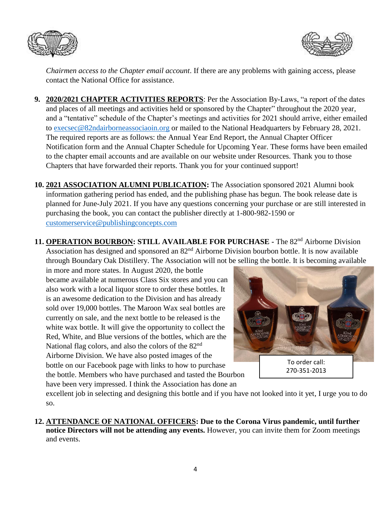



*Chairmen access to the Chapter email account*. If there are any problems with gaining access, please contact the National Office for assistance.

- **9. 2020/2021 CHAPTER ACTIVITIES REPORTS**: Per the Association By-Laws, "a report of the dates and places of all meetings and activities held or sponsored by the Chapter" throughout the 2020 year, and a "tentative" schedule of the Chapter's meetings and activities for 2021 should arrive, either emailed to [execsec@82ndairborneassociaoin.org](mailto:execsec@82ndairborneassociaoin.org) or mailed to the National Headquarters by February 28, 2021. The required reports are as follows: the Annual Year End Report, the Annual Chapter Officer Notification form and the Annual Chapter Schedule for Upcoming Year. These forms have been emailed to the chapter email accounts and are available on our website under Resources. Thank you to those Chapters that have forwarded their reports. Thank you for your continued support!
- **10. 2021 ASSOCIATION ALUMNI PUBLICATION:** The Association sponsored 2021 Alumni book information gathering period has ended, and the publishing phase has begun. The book release date is planned for June-July 2021. If you have any questions concerning your purchase or are still interested in purchasing the book, you can contact the publisher directly at 1-800-982-1590 or [customerservice@publishingconcepts.com](mailto:customerservice@publishingconcepts.com)
- 11. **OPERATION BOURBON: STILL AVAILABLE FOR PURCHASE** The 82<sup>nd</sup> Airborne Division Association has designed and sponsored an 82<sup>nd</sup> Airborne Division bourbon bottle. It is now available through Boundary Oak Distillery. The Association will not be selling the bottle. It is becoming available

in more and more states. In August 2020, the bottle became available at numerous Class Six stores and you can also work with a local liquor store to order these bottles. It is an awesome dedication to the Division and has already sold over 19,000 bottles. The Maroon Wax seal bottles are currently on sale, and the next bottle to be released is the white wax bottle. It will give the opportunity to collect the Red, White, and Blue versions of the bottles, which are the National flag colors, and also the colors of the 82nd Airborne Division. We have also posted images of the bottle on our Facebook page with links to how to purchase the bottle. Members who have purchased and tasted the Bourbon have been very impressed. I think the Association has done an



excellent job in selecting and designing this bottle and if you have not looked into it yet, I urge you to do so.

**12. ATTENDANCE OF NATIONAL OFFICERS: Due to the Corona Virus pandemic, until further notice Directors will not be attending any events.** However, you can invite them for Zoom meetings and events.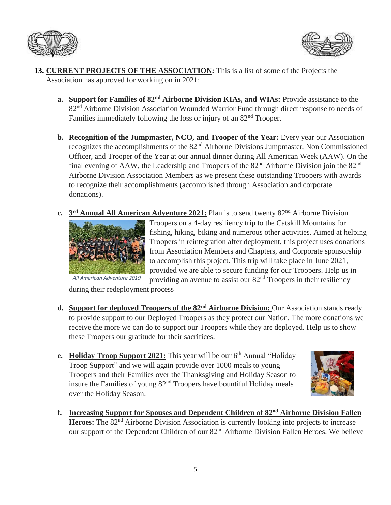



- **13. CURRENT PROJECTS OF THE ASSOCIATION:** This is a list of some of the Projects the Association has approved for working on in 2021:
	- **a. Support for Families of 82nd Airborne Division KIAs, and WIAs:** Provide assistance to the 82<sup>nd</sup> Airborne Division Association Wounded Warrior Fund through direct response to needs of Families immediately following the loss or injury of an 82<sup>nd</sup> Trooper.
	- **b. Recognition of the Jumpmaster, NCO, and Trooper of the Year:** Every year our Association recognizes the accomplishments of the 82<sup>nd</sup> Airborne Divisions Jumpmaster, Non Commissioned Officer, and Trooper of the Year at our annual dinner during All American Week (AAW). On the final evening of AAW, the Leadership and Troopers of the  $82<sup>nd</sup>$  Airborne Division join the  $82<sup>nd</sup>$ Airborne Division Association Members as we present these outstanding Troopers with awards to recognize their accomplishments (accomplished through Association and corporate donations).
	- **c. 3<sup>rd</sup> Annual All American Adventure 2021:** Plan is to send twenty 82<sup>nd</sup> Airborne Division



Troopers on a 4-day resiliency trip to the Catskill Mountains for fishing, hiking, biking and numerous other activities. Aimed at helping Troopers in reintegration after deployment, this project uses donations from Association Members and Chapters, and Corporate sponsorship to accomplish this project. This trip will take place in June 2021, provided we are able to secure funding for our Troopers. Help us in providing an avenue to assist our 82nd Troopers in their resiliency

during their redeployment process

- **d. Support for deployed Troopers of the 82nd Airborne Division:** Our Association stands ready to provide support to our Deployed Troopers as they protect our Nation. The more donations we receive the more we can do to support our Troopers while they are deployed. Help us to show these Troopers our gratitude for their sacrifices.
- **e.** Holiday Troop Support 2021: This year will be our 6<sup>th</sup> Annual "Holiday Troop Support" and we will again provide over 1000 meals to young Troopers and their Families over the Thanksgiving and Holiday Season to insure the Families of young 82nd Troopers have bountiful Holiday meals over the Holiday Season.



**f. Increasing Support for Spouses and Dependent Children of 82nd Airborne Division Fallen**  Heroes: The 82<sup>nd</sup> Airborne Division Association is currently looking into projects to increase our support of the Dependent Children of our 82<sup>nd</sup> Airborne Division Fallen Heroes. We believe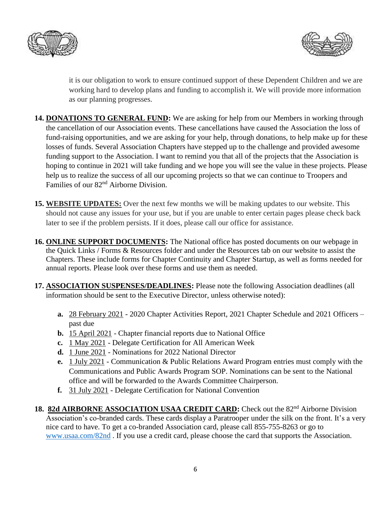



it is our obligation to work to ensure continued support of these Dependent Children and we are working hard to develop plans and funding to accomplish it. We will provide more information as our planning progresses.

- **14. DONATIONS TO GENERAL FUND:** We are asking for help from our Members in working through the cancellation of our Association events. These cancellations have caused the Association the loss of fund-raising opportunities, and we are asking for your help, through donations, to help make up for these losses of funds. Several Association Chapters have stepped up to the challenge and provided awesome funding support to the Association. I want to remind you that all of the projects that the Association is hoping to continue in 2021 will take funding and we hope you will see the value in these projects. Please help us to realize the success of all our upcoming projects so that we can continue to Troopers and Families of our 82nd Airborne Division.
- **15. WEBSITE UPDATES:** Over the next few months we will be making updates to our website. This should not cause any issues for your use, but if you are unable to enter certain pages please check back later to see if the problem persists. If it does, please call our office for assistance.
- **16. ONLINE SUPPORT DOCUMENTS:** The National office has posted documents on our webpage in the Quick Links / Forms & Resources folder and under the Resources tab on our website to assist the Chapters. These include forms for Chapter Continuity and Chapter Startup, as well as forms needed for annual reports. Please look over these forms and use them as needed.
- **17. ASSOCIATION SUSPENSES/DEADLINES:** Please note the following Association deadlines (all information should be sent to the Executive Director, unless otherwise noted):
	- **a.** 28 February 2021 2020 Chapter Activities Report, 2021 Chapter Schedule and 2021 Officers past due
	- **b.** 15 April 2021 Chapter financial reports due to National Office
	- **c.** 1 May 2021 Delegate Certification for All American Week
	- **d.** 1 June 2021 Nominations for 2022 National Director
	- **e.** 1 July 2021 Communication & Public Relations Award Program entries must comply with the Communications and Public Awards Program SOP. Nominations can be sent to the National office and will be forwarded to the Awards Committee Chairperson.
	- **f.** 31 July 2021 Delegate Certification for National Convention
- 18. 82d AIRBORNE ASSOCIATION USAA CREDIT CARD: Check out the 82<sup>nd</sup> Airborne Division Association's co-branded cards. These cards display a Paratrooper under the silk on the front. It's a very nice card to have. To get a co-branded Association card, please call 855-755-8263 or go to [www.usaa.com/82nd](http://www.usaa.com/82nd) . If you use a credit card, please choose the card that supports the Association.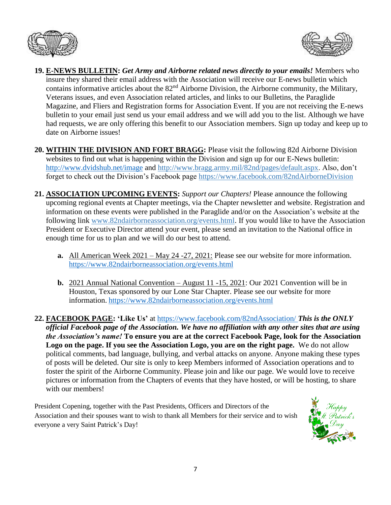



- **19. E-NEWS BULLETIN:** *Get Army and Airborne related news directly to your emails!* Members who insure they shared their email address with the Association will receive our E-news bulletin which contains informative articles about the 82nd Airborne Division, the Airborne community, the Military, Veterans issues, and even Association related articles, and links to our Bulletins, the Paraglide Magazine, and Fliers and Registration forms for Association Event. If you are not receiving the E-news bulletin to your email just send us your email address and we will add you to the list. Although we have had requests, we are only offering this benefit to our Association members. Sign up today and keep up to date on Airborne issues!
- **20. WITHIN THE DIVISION AND FORT BRAGG:** Please visit the following 82d Airborne Division websites to find out what is happening within the Division and sign up for our E-News bulletin: <http://www.dvidshub.net/image> and [http://www.bragg.army.mil/82nd/pages/default.aspx.](http://www.bragg.army.mil/82ND/Pages/default.aspx) Also, don't forget to check out the Division's Facebook page<https://www.facebook.com/82ndAirborneDivision>
- **21. ASSOCIATION UPCOMING EVENTS:** *Support our Chapters!* Please announce the following upcoming regional events at Chapter meetings, via the Chapter newsletter and website. Registration and information on these events were published in the Paraglide and/or on the Association's website at the following link [www.82ndairborneassociation.org/events.html.](http://www.82ndairborneassociation.org/events.html) If you would like to have the Association President or Executive Director attend your event, please send an invitation to the National office in enough time for us to plan and we will do our best to attend.
	- **a.** All American Week 2021 May 24 -27, 2021: Please see our website for more information. <https://www.82ndairborneassociation.org/events.html>
	- **b.** 2021 Annual National Convention August 11 -15, 2021: Our 2021 Convention will be in Houston, Texas sponsored by our Lone Star Chapter. Please see our website for more information. <https://www.82ndairborneassociation.org/events.html>
- **22. FACEBOOK PAGE: 'Like Us'** at<https://www.facebook.com/82ndAssociation/> *This is the ONLY official Facebook page of the Association. We have no affiliation with any other sites that are using the Association's name!* **To ensure you are at the correct Facebook Page, look for the Association Logo on the page. If you see the Association Logo, you are on the right page.** We do not allow political comments, bad language, bullying, and verbal attacks on anyone. Anyone making these types of posts will be deleted. Our site is only to keep Members informed of Association operations and to foster the spirit of the Airborne Community. Please join and like our page. We would love to receive pictures or information from the Chapters of events that they have hosted, or will be hosting, to share with our members!

President Copening, together with the Past Presidents, Officers and Directors of the Association and their spouses want to wish to thank all Members for their service and to wish everyone a very Saint Patrick's Day!